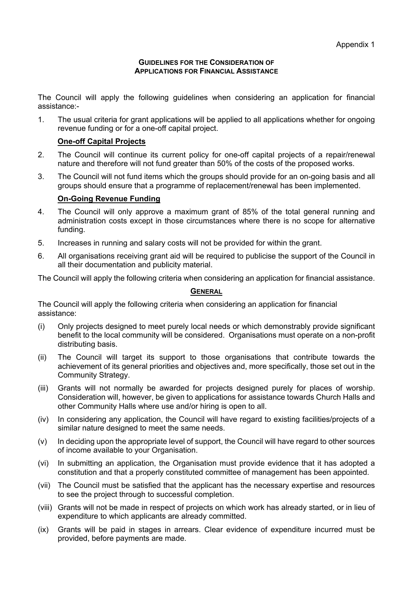#### **GUIDELINES FOR THE CONSIDERATION OF APPLICATIONS FOR FINANCIAL ASSISTANCE**

The Council will apply the following guidelines when considering an application for financial assistance:-

1. The usual criteria for grant applications will be applied to all applications whether for ongoing revenue funding or for a one-off capital project.

## **One-off Capital Projects**

- 2. The Council will continue its current policy for one-off capital projects of a repair/renewal nature and therefore will not fund greater than 50% of the costs of the proposed works.
- 3. The Council will not fund items which the groups should provide for an on-going basis and all groups should ensure that a programme of replacement/renewal has been implemented.

## **On-Going Revenue Funding**

- 4. The Council will only approve a maximum grant of 85% of the total general running and administration costs except in those circumstances where there is no scope for alternative funding.
- 5. Increases in running and salary costs will not be provided for within the grant.
- 6. All organisations receiving grant aid will be required to publicise the support of the Council in all their documentation and publicity material.

The Council will apply the following criteria when considering an application for financial assistance.

## **GENERAL**

The Council will apply the following criteria when considering an application for financial assistance:

- (i) Only projects designed to meet purely local needs or which demonstrably provide significant benefit to the local community will be considered. Organisations must operate on a non-profit distributing basis.
- (ii) The Council will target its support to those organisations that contribute towards the achievement of its general priorities and objectives and, more specifically, those set out in the Community Strategy.
- (iii) Grants will not normally be awarded for projects designed purely for places of worship. Consideration will, however, be given to applications for assistance towards Church Halls and other Community Halls where use and/or hiring is open to all.
- (iv) In considering any application, the Council will have regard to existing facilities/projects of a similar nature designed to meet the same needs.
- (v) In deciding upon the appropriate level of support, the Council will have regard to other sources of income available to your Organisation.
- (vi) In submitting an application, the Organisation must provide evidence that it has adopted a constitution and that a properly constituted committee of management has been appointed.
- (vii) The Council must be satisfied that the applicant has the necessary expertise and resources to see the project through to successful completion.
- (viii) Grants will not be made in respect of projects on which work has already started, or in lieu of expenditure to which applicants are already committed.
- (ix) Grants will be paid in stages in arrears. Clear evidence of expenditure incurred must be provided, before payments are made.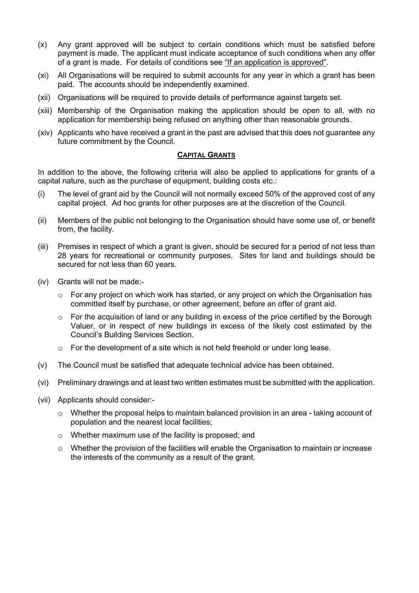- (x) Any grant approved will be subject to certain conditions which must be satisfied before payment is made. The applicant must indicate acceptance of such conditions when any offer of a grant is made. For details of conditions see "If an application is approved".
- (xi) All Organisations will be required to submit accounts for any year in which a grant has been paid. The accounts should be independently examined.
- (xii) Organisations will be required to provide details of performance against targets set.
- (xiii) Membership of the Organisation making the application should be open to all, with no application for membership being refused on anything other than reasonable grounds.
- (xiv) Applicants who have received a grant in the past are advised that this does not guarantee any future commitment by the Council.

#### **CAPITAL GRANTS**

In addition to the above, the following criteria will also be applied to applications for grants of a capital nature, such as the purchase of equipment, building costs etc.:

- (i) The level of grant aid by the Council will not normally exceed 50% of the approved cost of any capital project. Ad hoc grants for other purposes are at the discretion of the Council.
- (ii) Members of the public not belonging to the Organisation should have some use of, or benefit from, the facility.
- (iii) Premises in respect of which a grant is given, should be secured for a period of not less than 28 years for recreational or community purposes. Sites for land and buildings should be secured for not less than 60 years.
- (iv) Grants will not be made:-
	- $\circ$  For any project on which work has started, or any project on which the Organisation has committed itself by purchase, or other agreement, before an offer of grant aid.
	- $\circ$  For the acquisition of land or any building in excess of the price certified by the Borough Valuer, or in respect of new buildings in excess of the likely cost estimated by the Council's Building Services Section.
	- $\circ$  For the development of a site which is not held freehold or under long lease.
- (v) The Council must be satisfied that adequate technical advice has been obtained.
- (vi) Preliminary drawings and at least two written estimates must be submitted with the application.
- (vii) Applicants should consider:-
	- $\circ$  Whether the proposal helps to maintain balanced provision in an area taking account of population and the nearest local facilities;
	- o Whether maximum use of the facility is proposed; and
	- $\circ$  Whether the provision of the facilities will enable the Organisation to maintain or increase the interests of the community as a result of the grant.